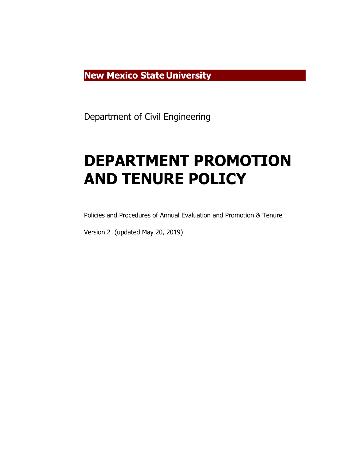**New Mexico State University**

Department of Civil Engineering

# **DEPARTMENT PROMOTION AND TENURE POLICY**

Policies and Procedures of Annual Evaluation and Promotion & Tenure

Version 2 (updated May 20, 2019)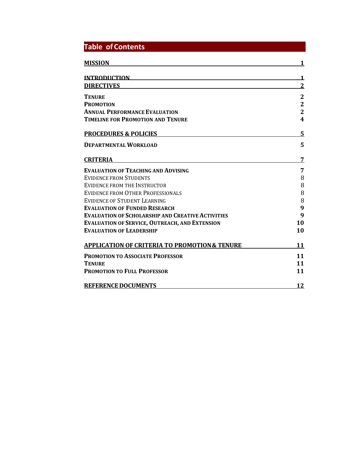| <b>Table of Contents</b>                                 |                         |
|----------------------------------------------------------|-------------------------|
| <b>MISSION</b>                                           |                         |
| <b>INTRODUCTION</b>                                      | 1                       |
| <b>DIRECTIVES</b>                                        | $\overline{2}$          |
| <b>TENURE</b>                                            | $\mathbf{2}$            |
| <b>PROMOTION</b>                                         | $\overline{2}$          |
| <b>ANNUAL PERFORMANCE EVALUATION</b>                     | $\overline{2}$          |
| <b>TIMELINE FOR PROMOTION AND TENURE</b>                 | $\overline{\mathbf{4}}$ |
| <b>PROCEDURES &amp; POLICIES</b>                         | 5                       |
| <b>DEPARTMENTAL WORKLOAD</b>                             | 5                       |
| <b>CRITERIA</b>                                          | 7                       |
| <b>EVALUATION OF TEACHING AND ADVISING</b>               | 7                       |
| <b>EVIDENCE FROM STUDENTS</b>                            | 8                       |
| EVIDENCE FROM THE INSTRUCTOR                             | 8                       |
| EVIDENCE FROM OTHER PROFESSIONALS                        | 8                       |
| <b>EVIDENCE OF STUDENT LEARNING</b>                      | 8                       |
| <b>EVALUATION OF FUNDED RESEARCH</b>                     | 9                       |
| <b>EVALUATION OF SCHOLARSHIP AND CREATIVE ACTIVITIES</b> | 9                       |
| <b>EVALUATION OF SERVICE, OUTREACH, AND EXTENSION</b>    | 10                      |
| <b>EVALUATION OF LEADERSHIP</b>                          | 10                      |
| <b>APPLICATION OF CRITERIA TO PROMOTION &amp; TENURE</b> | 11                      |
| <b>PROMOTION TO ASSOCIATE PROFESSOR</b>                  | 11                      |
| <b>TENURE</b>                                            | 11                      |
| <b>PROMOTION TO FULL PROFESSOR</b>                       | 11                      |
| <b>REFERENCE DOCUMENTS</b>                               | 12                      |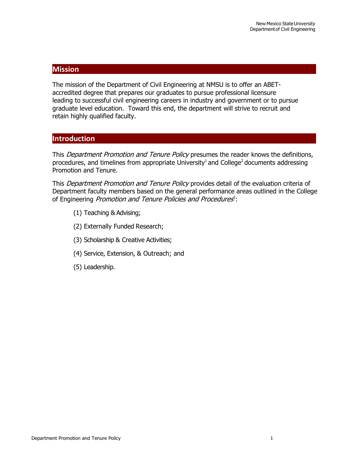## **Mission**

The mission of the Department of Civil Engineering at NMSU is to offer an ABETaccredited degree that prepares our graduates to pursue professional licensure leading to successful civil engineering careers in industry and government or to pursue graduate level education. Toward this end, the department will strive to recruit and retain highly qualified faculty.

## **Introduction**

This *Department Promotion and Tenure Policy* presumes the reader knows the definitions, procedures, and timelines from appropriate University<sup>1</sup> and College<sup>2</sup> documents addressing Promotion and Tenure.

This *Department Promotion and Tenure Policy* provides detail of the evaluation criteria of Department faculty members based on the general performance areas outlined in the College of Engineering *Promotion and Tenure Policies and Procedures*<sup>2</sup>:

- (1) Teaching & Advising;
- (2) Externally Funded Research;
- (3) Scholarship & Creative Activities;
- (4) Service, Extension, & Outreach; and
- (5) Leadership.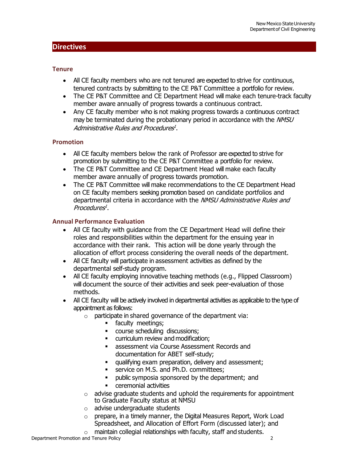#### <span id="page-3-1"></span><span id="page-3-0"></span>**Tenure**

- All CE faculty members who are not tenured are expected to strive for continuous, tenured contracts by submitting to the CE P&T Committee a portfolio for review.
- The CE P&T Committee and CE Department Head will make each tenure-track faculty member aware annually of progress towards a continuous contract.
- Any CE faculty member who is not making progress towards a continuous contract may be terminated during the probationary period in accordance with the NMSU Administrative Rules and Procedures<sup>1</sup>.

## <span id="page-3-2"></span>**Promotion**

- All CE faculty members below the rank of Professor are expected to strive for promotion by submitting to the CE P&T Committee a portfolio for review.
- The CE P&T Committee and CE Department Head will make each faculty member aware annually of progress towards promotion.
- The CE P&T Committee will make recommendations to the CE Department Head on CE faculty members seeking promotion based on candidate portfolios and departmental criteria in accordance with the NMSU Administrative Rules and  $Procedures<sup>1</sup>$ .

## <span id="page-3-3"></span>**Annual Performance Evaluation**

- All CE faculty with guidance from the CE Department Head will define their roles and responsibilities within the department for the ensuing year in accordance with their rank. This action will be done yearly through the allocation of effort process considering the overall needs of the department.
- All CE faculty will participate in assessment activities as defined by the departmental self-study program.
- All CE faculty employing innovative teaching methods (e.g., Flipped Classroom) will document the source of their activities and seek peer-evaluation of those methods.
- All CE faculty will be actively involved in departmental activities as applicable to the type of appointment as follows:
	- $\circ$  participate in shared governance of the department via:
		- **faculty meetings;**
		- course scheduling discussions;
		- **EXECUTE CUTTICULUM** review and modification;
		- **assessment via Course Assessment Records and** documentation for ABET self-study;
		- qualifying exam preparation, delivery and assessment;
		- service on M.S. and Ph.D. committees;
		- **•** public symposia sponsored by the department; and
		- **EXECUTE:** ceremonial activities
	- $\circ$  advise graduate students and uphold the requirements for appointment to Graduate Faculty status at NMSU
	- o advise undergraduate students
	- $\circ$  prepare, in a timely manner, the Digital Measures Report, Work Load Spreadsheet, and Allocation of Effort Form (discussed later); and
	- $\circ$  maintain collegial relationships with faculty, staff and students.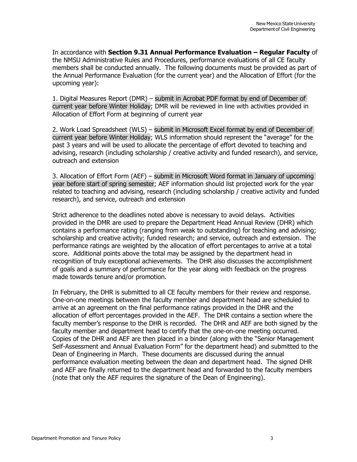In accordance with **Section 9.31 Annual Performance Evaluation – Regular Faculty** of the NMSU Administrative Rules and Procedures, performance evaluations of all CE faculty members shall be conducted annually. The following documents must be provided as part of the Annual Performance Evaluation (for the current year) and the Allocation of Effort (for the upcoming year):

1. Digital Measures Report (DMR) – submit in Acrobat PDF format by end of December of current year before Winter Holiday; DMR will be reviewed in line with activities provided in Allocation of Effort Form at beginning of current year

2. Work Load Spreadsheet (WLS) – submit in Microsoft Excel format by end of December of current year before Winter Holiday; WLS information should represent the "average" for the past 3 years and will be used to allocate the percentage of effort devoted to teaching and advising, research (including scholarship / creative activity and funded research), and service, outreach and extension

3. Allocation of Effort Form (AEF) – submit in Microsoft Word format in January of upcoming year before start of spring semester; AEF information should list projected work for the year related to teaching and advising, research (including scholarship / creative activity and funded research), and service, outreach and extension

Strict adherence to the deadlines noted above is necessary to avoid delays. Activities provided in the DMR are used to prepare the Department Head Annual Review (DHR) which contains a performance rating (ranging from weak to outstanding) for teaching and advising; scholarship and creative activity; funded research; and service, outreach and extension. The performance ratings are weighted by the allocation of effort percentages to arrive at a total score. Additional points above the total may be assigned by the department head in recognition of truly exceptional achievements. The DHR also discusses the accomplishment of goals and a summary of performance for the year along with feedback on the progress made towards tenure and/or promotion.

In February, the DHR is submitted to all CE faculty members for their review and response. One-on-one meetings between the faculty member and department head are scheduled to arrive at an agreement on the final performance ratings provided in the DHR and the allocation of effort percentages provided in the AEF. The DHR contains a section where the faculty member's response to the DHR is recorded. The DHR and AEF are both signed by the faculty member and department head to certify that the one-on-one meeting occurred. Copies of the DHR and AEF are then placed in a binder (along with the "Senior Management Self-Assessment and Annual Evaluation Form" for the department head) and submitted to the Dean of Engineering in March. These documents are discussed during the annual performance evaluation meeting between the dean and department head. The signed DHR and AEF are finally returned to the department head and forwarded to the faculty members (note that only the AEF requires the signature of the Dean of Engineering).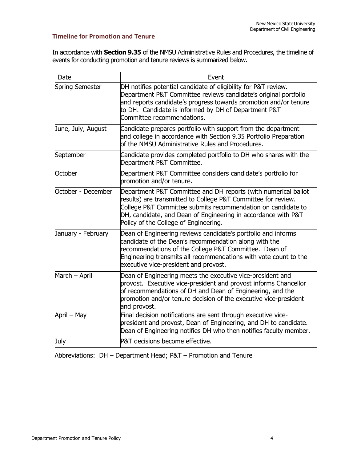## **Timeline for Promotion and Tenure**

In accordance with **Section 9.35** of the NMSU Administrative Rules and Procedures, the timeline of events for conducting promotion and tenure reviews is summarized below.

| Date                   | Event                                                                                                                                                                                                                                                                                                     |
|------------------------|-----------------------------------------------------------------------------------------------------------------------------------------------------------------------------------------------------------------------------------------------------------------------------------------------------------|
| <b>Spring Semester</b> | DH notifies potential candidate of eligibility for P&T review.<br>Department P&T Committee reviews candidate's original portfolio<br>and reports candidate's progress towards promotion and/or tenure<br>to DH. Candidate is informed by DH of Department P&T<br>Committee recommendations.               |
| June, July, August     | Candidate prepares portfolio with support from the department<br>and college in accordance with Section 9.35 Portfolio Preparation<br>of the NMSU Administrative Rules and Procedures.                                                                                                                    |
| September              | Candidate provides completed portfolio to DH who shares with the<br>Department P&T Committee.                                                                                                                                                                                                             |
| October                | Department P&T Committee considers candidate's portfolio for<br>promotion and/or tenure.                                                                                                                                                                                                                  |
| October - December     | Department P&T Committee and DH reports (with numerical ballot<br>results) are transmitted to College P&T Committee for review.<br>College P&T Committee submits recommendation on candidate to<br>DH, candidate, and Dean of Engineering in accordance with P&T<br>Policy of the College of Engineering. |
| January - February     | Dean of Engineering reviews candidate's portfolio and informs<br>candidate of the Dean's recommendation along with the<br>recommendations of the College P&T Committee. Dean of<br>Engineering transmits all recommendations with vote count to the<br>executive vice-president and provost.              |
| March - April          | Dean of Engineering meets the executive vice-president and<br>provost. Executive vice-president and provost informs Chancellor<br>of recommendations of DH and Dean of Engineering, and the<br>promotion and/or tenure decision of the executive vice-president<br>and provost.                           |
| April - May            | Final decision notifications are sent through executive vice-<br>president and provost, Dean of Engineering, and DH to candidate.<br>Dean of Engineering notifies DH who then notifies faculty member.                                                                                                    |
| July                   | P&T decisions become effective.                                                                                                                                                                                                                                                                           |

Abbreviations: DH – Department Head; P&T – Promotion and Tenure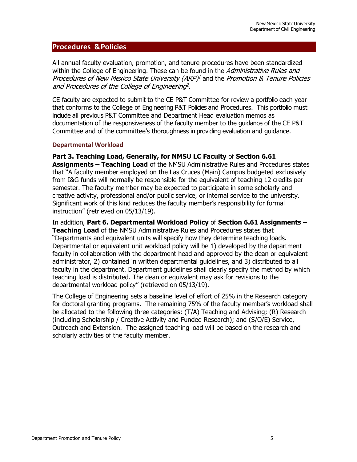## <span id="page-6-0"></span>**Procedures &Policies**

All annual faculty evaluation, promotion, and tenure procedures have been standardized within the College of Engineering. These can be found in the Administrative Rules and Procedures of New Mexico State University (ARP)<sup>1</sup> and the Promotion & Tenure Policies and Procedures of the College of Engineering<sup>2</sup>.

CE faculty are expected to submit to the CE P&T Committee for review a portfolio each year that conforms to the College of Engineering P&T Policies and Procedures. This portfolio must include all previous P&T Committee and Department Head evaluation memos as documentation of the responsiveness of the faculty member to the guidance of the CE P&T Committee and of the committee's thoroughness in providing evaluation and guidance.

## <span id="page-6-1"></span>**Departmental Workload**

**Part 3. Teaching Load, Generally, for NMSU LC Faculty** of **Section 6.61 Assignments – Teaching Load** of the NMSU Administrative Rules and Procedures states that "A faculty member employed on the Las Cruces (Main) Campus budgeted exclusively from I&G funds will normally be responsible for the equivalent of teaching 12 credits per semester. The faculty member may be expected to participate in some scholarly and creative activity, professional and/or public service, or internal service to the university. Significant work of this kind reduces the faculty member's responsibility for formal instruction" (retrieved on 05/13/19).

In addition, **Part 6. Departmental Workload Policy** of **Section 6.61 Assignments – Teaching Load** of the NMSU Administrative Rules and Procedures states that "Departments and equivalent units will specify how they determine teaching loads. Departmental or equivalent unit workload policy will be 1) developed by the department faculty in collaboration with the department head and approved by the dean or equivalent administrator, 2) contained in written departmental guidelines, and 3) distributed to all faculty in the department. Department guidelines shall clearly specify the method by which teaching load is distributed. The dean or equivalent may ask for revisions to the departmental workload policy" (retrieved on 05/13/19).

The College of Engineering sets a baseline level of effort of 25% in the Research category for doctoral granting programs. The remaining 75% of the faculty member's workload shall be allocated to the following three categories: (T/A) Teaching and Advising; (R) Research (including Scholarship / Creative Activity and Funded Research); and (S/O/E) Service, Outreach and Extension. The assigned teaching load will be based on the research and scholarly activities of the faculty member.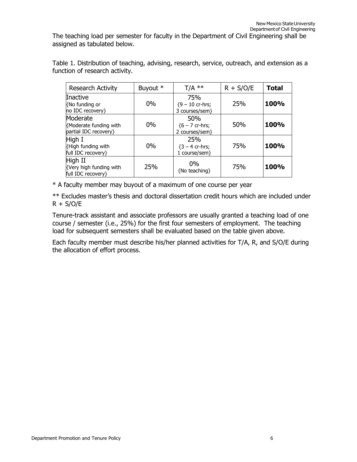The teaching load per semester for faculty in the Department of Civil Engineering shall be assigned as tabulated below.

Table 1. Distribution of teaching, advising, research, service, outreach, and extension as a function of research activity.

| <b>Research Activity</b>                                    | Buyout * | $T/A$ **                                    | $R + S/O/E$ | <b>Total</b> |
|-------------------------------------------------------------|----------|---------------------------------------------|-------------|--------------|
| Inactive<br>{No funding or<br>no IDC recovery}              | 0%       | 75%<br>${9 - 10}$ cr-hrs;<br>3 courses/sem} | 25%         | 100%         |
| Moderate<br>{Moderate funding with<br>partial IDC recovery} | 0%       | 50%<br>${6 - 7}$ cr-hrs;<br>2 courses/sem}  | 50%         | 100%         |
| High I<br>{High funding with<br>full IDC recovery}          | 0%       | 25%<br>${3 - 4}$ cr-hrs;<br>1 course/sem}   | 75%         | 100%         |
| High II<br>{Very high funding with<br>full IDC recovery}    | 25%      | $0\%$<br>{No teaching}                      | 75%         | 100%         |

\* A faculty member may buyout of a maximum of one course per year

\*\* Excludes master's thesis and doctoral dissertation credit hours which are included under  $R + S/O/E$ 

Tenure-track assistant and associate professors are usually granted a teaching load of one course / semester (i.e., 25%) for the first four semesters of employment. The teaching load for subsequent semesters shall be evaluated based on the table given above.

Each faculty member must describe his/her planned activities for T/A, R, and S/O/E during the allocation of effort process.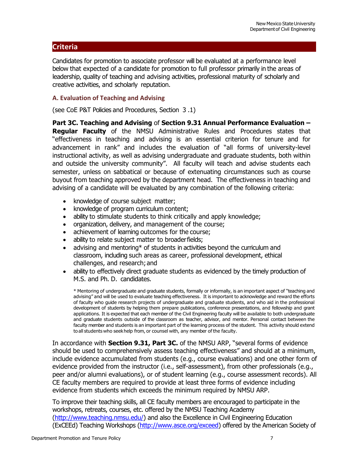# <span id="page-8-0"></span>**Criteria**

Candidates for promotion to associate professor will be evaluated at a performance level below that expected of a candidate for promotion to full professor primarily in the areas of leadership, quality of teaching and advising activities, professional maturity of scholarly and creative activities, and scholarly reputation.

## <span id="page-8-1"></span>**A. Evaluation of Teaching and Advising**

(see CoE P&T Policies and Procedures, Section 3 .1)

**Part 3C. Teaching and Advising** of **Section 9.31 Annual Performance Evaluation – Regular Faculty** of the NMSU Administrative Rules and Procedures states that "effectiveness in teaching and advising is an essential criterion for tenure and for advancement in rank" and includes the evaluation of "all forms of university-level instructional activity, as well as advising undergraduate and graduate students, both within and outside the university community". All faculty will teach and advise students each semester, unless on sabbatical or because of extenuating circumstances such as course buyout from teaching approved by the department head. The effectiveness in teaching and advising of a candidate will be evaluated by any combination of the following criteria:

- knowledge of course subject matter;
- knowledge of program curriculum content;
- ability to stimulate students to think critically and apply knowledge;
- organization, delivery, and management of the course;
- achievement of learning outcomes for the course;
- ability to relate subject matter to broader fields;
- advising and mentoring\* of students in activities beyond the curriculum and classroom, including such areas as career, professional development, ethical challenges, and research; and
- ability to effectively direct graduate students as evidenced by the timely production of M.S. and Ph. D. candidates.

\* Mentoring of undergraduate and graduate students, formally or informally, is an important aspect of "teaching and advising" and will be used to evaluate teaching effectiveness. It is important to acknowledge and reward the efforts of faculty who guide research projects of undergraduate and graduate students, and who aid in the professional development of students by helping them prepare publications, conference presentations, and fellowship and grant applications. It is expected that each member of the Civil Engineering faculty will be available to both undergraduate and graduate students outside of the classroom as teacher, advisor, and mentor. Personal contact between the faculty member and students is an important part of the learning process of the student. This activity should extend to all students who seekhelp from, or counsel with, any member of the faculty.

In accordance with **Section 9.31, Part 3C.** of the NMSU ARP, "several forms of evidence should be used to comprehensively assess teaching effectiveness" and should at a minimum, include evidence accumulated from students (e.g., course evaluations) and one other form of evidence provided from the instructor (i.e., self-assessment), from other professionals (e.g., peer and/or alumni evaluations), or of student learning (e.g., course assessment records). All CE faculty members are required to provide at least three forms of evidence including evidence from students which exceeds the minimum required by NMSU ARP.

To improve their teaching skills, all CE faculty members are encouraged to participate in the workshops, retreats, courses, etc. offered by the NMSU Teaching Academy [\(http://www.teaching.nmsu.edu/\)](http://www.teaching.nmsu.edu/) and also the Excellence in Civil Engineering Education (ExCEEd) Teaching Workshops [\(http://www.asce.org/e](http://www.asce.org/)xceed) offered by the American Society of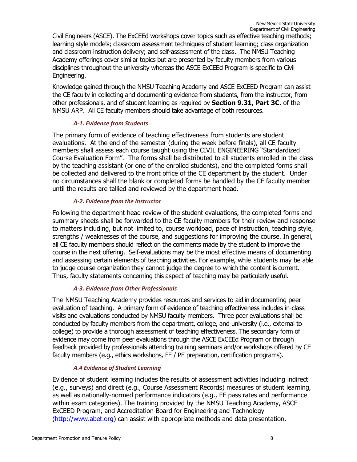Civil Engineers (ASCE). The ExCEEd workshops cover topics such as effective teaching methods; learning style models; classroom assessment techniques of student learning; class organization and classroom instruction delivery; and self-assessment of the class. The NMSU Teaching Academy offerings cover similar topics but are presented by faculty members from various disciplines throughout the university whereas the ASCE ExCEEd Program is specific to Civil Engineering.

Knowledge gained through the NMSU Teaching Academy and ASCE ExCEED Program can assist the CE faculty in collecting and documenting evidence from students, from the instructor, from other professionals, and of student learning as required by **Section 9.31, Part 3C.** of the NMSU ARP. All CE faculty members should take advantage of both resources.

## *A-1. Evidence from Students*

<span id="page-9-0"></span>The primary form of evidence of teaching effectiveness from students are student evaluations. At the end of the semester (during the week before finals), all CE faculty members shall assess each course taught using the CIVIL ENGINEERING "Standardized Course Evaluation Form". The forms shall be distributed to all students enrolled in the class by the teaching assistant (or one of the enrolled students), and the completed forms shall be collected and delivered to the front office of the CE department by the student. Under no circumstances shall the blank or completed forms be handled by the CE faculty member until the results are tallied and reviewed by the department head.

## *A-2. Evidence from the Instructor*

Following the department head review of the student evaluations, the completed forms and summary sheets shall be forwarded to the CE faculty members for their review and response to matters including, but not limited to, course workload, pace of instruction, teaching style, strengths / weaknesses of the course, and suggestions for improving the course. In general, all CE faculty members should reflect on the comments made by the student to improve the course in the next offering. Self-evaluations may be the most effective means of documenting and assessing certain elements of teaching activities. For example, while students may be able to judge course organization they cannot judge the degree to which the content is current. Thus, faculty statements concerning this aspect of teaching may be particularly useful.

## *A-3. Evidence from Other Professionals*

<span id="page-9-1"></span>The NMSU Teaching Academy provides resources and services to aid in documenting peer evaluation of teaching. A primary form of evidence of teaching effectiveness includes in-class visits and evaluations conducted by NMSU faculty members. Three peer evaluations shall be conducted by faculty members from the department, college, and university (i.e., external to college) to provide a thorough assessment of teaching effectiveness. The secondary form of evidence may come from peer evaluations through the ASCE ExCEEd Program or through feedback provided by professionals attending training seminars and/or workshops offered by CE faculty members (e.g., ethics workshops, FE / PE preparation, certification programs).

## *A.4 Evidence of Student Learning*

<span id="page-9-2"></span>Evidence of student learning includes the results of assessment activities including indirect (e.g., surveys) and direct (e.g., Course Assessment Records) measures of student learning, as well as nationally-normed performance indicators (e.g., FE pass rates and performance within exam categories). The training provided by the NMSU Teaching Academy, ASCE ExCEED Program, and Accreditation Board for Engineering and Technology [\(http://www.abet.org\)](http://www.abet.org/) can assist with appropriate methods and data presentation.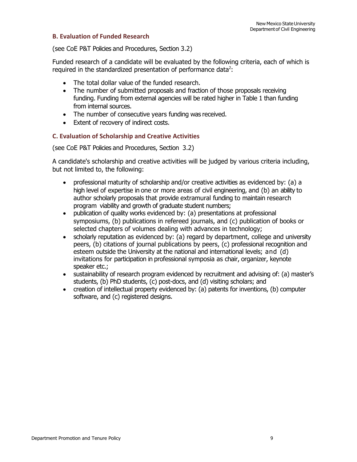#### <span id="page-10-0"></span>**B. Evaluation of Funded Research**

(see CoE P&T Policies and Procedures, Section 3.2)

Funded research of a candidate will be evaluated by the following criteria, each of which is required in the standardized presentation of performance data<sup>2</sup>:

- The total dollar value of the funded research.
- The number of submitted proposals and fraction of those proposals receiving funding. Funding from external agencies will be rated higher in Table 1 than funding from internal sources.
- The number of consecutive years funding was received.
- Extent of recovery of indirect costs.

## <span id="page-10-1"></span>**C. Evaluation of Scholarship and Creative Activities**

(see CoE P&T Policies and Procedures, Section 3.2)

A candidate's scholarship and creative activities will be judged by various criteria including, but not limited to, the following:

- professional maturity of scholarship and/or creative activities as evidenced by: (a) a high level of expertise in one or more areas of civil engineering, and (b) an ability to author scholarly proposals that provide extramural funding to maintain research program viability and growth of graduate student numbers;
- publication of quality works evidenced by: (a) presentations at professional symposiums, (b) publications in refereed journals, and (c) publication of books or selected chapters of volumes dealing with advances in technology;
- scholarly reputation as evidenced by: (a) regard by department, college and university peers, (b) citations of journal publications by peers, (c) professional recognition and esteem outside the University at the national and international levels; and (d) invitations for participation in professional symposia as chair, organizer, keynote speaker etc.;
- sustainability of research program evidenced by recruitment and advising of: (a) master's students, (b) PhD students, (c) post-docs, and (d) visiting scholars; and
- creation of intellectual property evidenced by: (a) patents for inventions, (b) computer software, and (c) registered designs.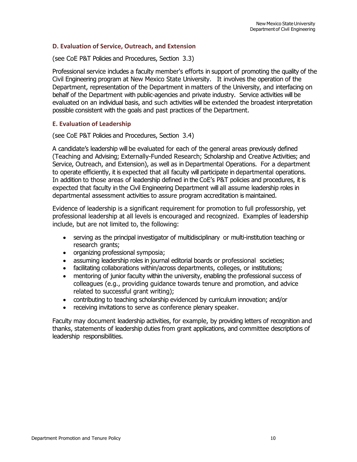## <span id="page-11-0"></span>**D. Evaluation of Service, Outreach, and Extension**

(see CoE P&T Policies and Procedures, Section 3.3)

Professional service includes a faculty member's efforts in support of promoting the quality of the Civil Engineering program at New Mexico State University. It involves the operation of the Department, representation of the Department in matters of the University, and interfacing on behalf of the Department with public-agencies and private industry. Service activities will be evaluated on an individual basis, and such activities will be extended the broadest interpretation possible consistent with the goals and past practices of the Department.

## <span id="page-11-1"></span>**E. Evaluation of Leadership**

(see CoE P&T Policies and Procedures, Section 3.4)

A candidate's leadership will be evaluated for each of the general areas previously defined (Teaching and Advising; Externally-Funded Research; Scholarship and Creative Activities; and Service, Outreach, and Extension), as well as in Departmental Operations. For a department to operate efficiently, it is expected that all faculty will participate in departmental operations. In addition to those areas of leadership defined in the CoE's P&T policies and procedures, it is expected that faculty in the Civil Engineering Department will all assume leadership roles in departmental assessment activities to assure program accreditation is maintained.

Evidence of leadership is a significant requirement for promotion to full professorship, yet professional leadership at all levels is encouraged and recognized. Examples of leadership include, but are not limited to, the following:

- serving as the principal investigator of multidisciplinary or multi-institution teaching or research grants;
- organizing professional symposia;
- assuming leadership roles in journal editorial boards or professional societies;
- facilitating collaborations within/across departments, colleges, or institutions;
- mentoring of junior faculty within the university, enabling the professional success of colleagues (e.g., providing guidance towards tenure and promotion, and advice related to successful grant writing);
- contributing to teaching scholarship evidenced by curriculum innovation; and/or
- receiving invitations to serve as conference plenary speaker.

Faculty may document leadership activities, for example, by providing letters of recognition and thanks, statements of leadership duties from grant applications, and committee descriptions of leadership responsibilities.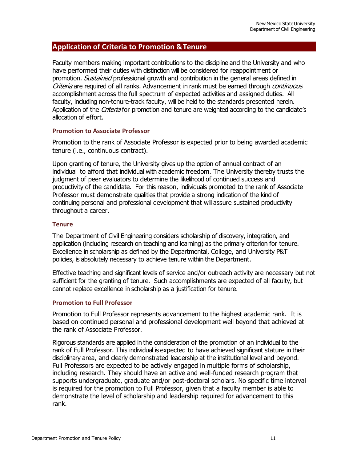## <span id="page-12-0"></span>**Application of Criteria to Promotion &Tenure**

Faculty members making important contributions to the discipline and the University and who have performed their duties with distinction will be considered for reappointment or promotion. *Sustained* professional growth and contribution in the general areas defined in Criteria are required of all ranks. Advancement in rank must be earned through continuous accomplishment across the full spectrum of expected activities and assigned duties. All faculty, including non-tenure-track faculty, will be held to the standards presented herein. Application of the Criteria for promotion and tenure are weighted according to the candidate's allocation of effort.

## <span id="page-12-1"></span>**Promotion to Associate Professor**

Promotion to the rank of Associate Professor is expected prior to being awarded academic tenure (i.e., continuous contract).

Upon granting of tenure, the University gives up the option of annual contract of an individual to afford that individual with academic freedom. The University thereby trusts the judgment of peer evaluators to determine the likelihood of continued success and productivity of the candidate. For this reason, individuals promoted to the rank of Associate Professor must demonstrate qualities that provide a strong indication of the kind of continuing personal and professional development that will assure sustained productivity throughout a career.

## <span id="page-12-2"></span>**Tenure**

The Department of Civil Engineering considers scholarship of discovery, integration, and application (including research on teaching and learning) as the primary criterion for tenure. Excellence in scholarship as defined by the Departmental, College, and University P&T policies, is absolutely necessary to achieve tenure within the Department.

Effective teaching and significant levels of service and/or outreach activity are necessary but not sufficient for the granting of tenure. Such accomplishments are expected of all faculty, but cannot replace excellence in scholarship as a justification for tenure.

## <span id="page-12-3"></span>**Promotion to Full Professor**

Promotion to Full Professor represents advancement to the highest academic rank. It is based on continued personal and professional development well beyond that achieved at the rank of Associate Professor.

Rigorous standards are applied in the consideration of the promotion of an individual to the rank of Full Professor. This individual is expected to have achieved significant stature in their disciplinary area, and clearly demonstrated leadership at the institutional level and beyond. Full Professors are expected to be actively engaged in multiple forms of scholarship, including research. They should have an active and well-funded research program that supports undergraduate, graduate and/or post-doctoral scholars. No specific time interval is required for the promotion to Full Professor, given that a faculty member is able to demonstrate the level of scholarship and leadership required for advancement to this rank.